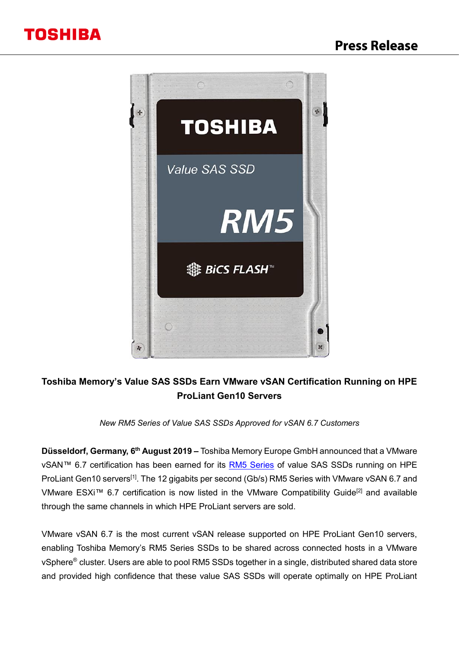

## **Toshiba Memory's Value SAS SSDs Earn VMware vSAN Certification Running on HPE ProLiant Gen10 Servers**

*New RM5 Series of Value SAS SSDs Approved for vSAN 6.7 Customers*

**Düsseldorf, Germany, 6 th August 2019 –** Toshiba Memory Europe GmbH announced that a VMware vSAN™ 6.7 certification has been earned for its [RM5 Series](https://us.toshiba-memory.com/life-after-sata) of value SAS SSDs running on HPE ProLiant Gen10 servers<sup>[1]</sup>. The 12 gigabits per second (Gb/s) RM5 Series with VMware vSAN 6.7 and VMware ESXi™ 6.7 certification is now listed in the VMware Compatibility Guide[2] and available through the same channels in which HPE ProLiant servers are sold.

VMware vSAN 6.7 is the most current vSAN release supported on HPE ProLiant Gen10 servers, enabling Toshiba Memory's RM5 Series SSDs to be shared across connected hosts in a VMware vSphere® cluster. Users are able to pool RM5 SSDs together in a single, distributed shared data store and provided high confidence that these value SAS SSDs will operate optimally on HPE ProLiant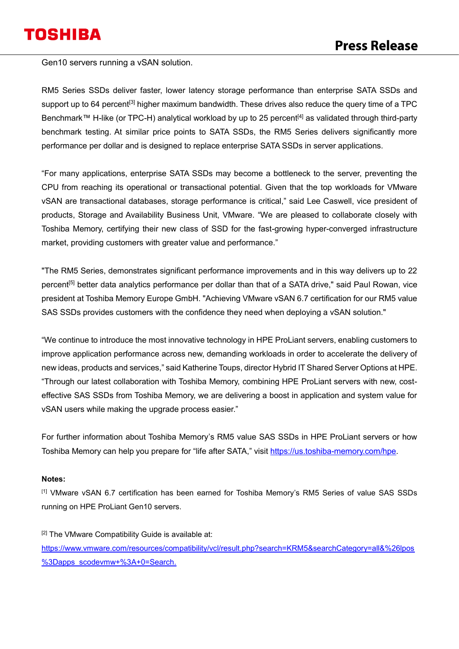# **TOSHIBA**

Gen10 servers running a vSAN solution.

RM5 Series SSDs deliver faster, lower latency storage performance than enterprise SATA SSDs and support up to 64 percent<sup>[3]</sup> higher maximum bandwidth. These drives also reduce the query time of a TPC Benchmark™ H-like (or TPC-H) analytical workload by up to 25 percent<sup>[4]</sup> as validated through third-party benchmark testing. At similar price points to SATA SSDs, the RM5 Series delivers significantly more performance per dollar and is designed to replace enterprise SATA SSDs in server applications.

"For many applications, enterprise SATA SSDs may become a bottleneck to the server, preventing the CPU from reaching its operational or transactional potential. Given that the top workloads for VMware vSAN are transactional databases, storage performance is critical," said Lee Caswell, vice president of products, Storage and Availability Business Unit, VMware. "We are pleased to collaborate closely with Toshiba Memory, certifying their new class of SSD for the fast-growing hyper-converged infrastructure market, providing customers with greater value and performance."

"The RM5 Series, demonstrates significant performance improvements and in this way delivers up to 22 percent<sup>[5]</sup> better data analytics performance per dollar than that of a SATA drive," said Paul Rowan, vice president at Toshiba Memory Europe GmbH. "Achieving VMware vSAN 6.7 certification for our RM5 value SAS SSDs provides customers with the confidence they need when deploying a vSAN solution."

"We continue to introduce the most innovative technology in HPE ProLiant servers, enabling customers to improve application performance across new, demanding workloads in order to accelerate the delivery of new ideas, products and services," said Katherine Toups, director Hybrid IT Shared Server Options at HPE. "Through our latest collaboration with Toshiba Memory, combining HPE ProLiant servers with new, costeffective SAS SSDs from Toshiba Memory, we are delivering a boost in application and system value for vSAN users while making the upgrade process easier."

For further information about Toshiba Memory's RM5 value SAS SSDs in HPE ProLiant servers or how Toshiba Memory can help you prepare for "life after SATA," visit [https://us.toshiba-memory.com/hpe.](https://us.toshiba-memory.com/hpe)

### **Notes:**

[1] VMware vSAN 6.7 certification has been earned for Toshiba Memory's RM5 Series of value SAS SSDs running on HPE ProLiant Gen10 servers.

[2] The VMware Compatibility Guide is available at:

[https://www.vmware.com/resources/compatibility/vcl/result.php?search=KRM5&searchCategory=all&%26lpos](https://www.vmware.com/resources/compatibility/vcl/result.php?search=KRM5&searchCategory=all&%26lpos%3Dapps_scodevmw+%3A+0=Search) [%3Dapps\\_scodevmw+%3A+0=Search.](https://www.vmware.com/resources/compatibility/vcl/result.php?search=KRM5&searchCategory=all&%26lpos%3Dapps_scodevmw+%3A+0=Search)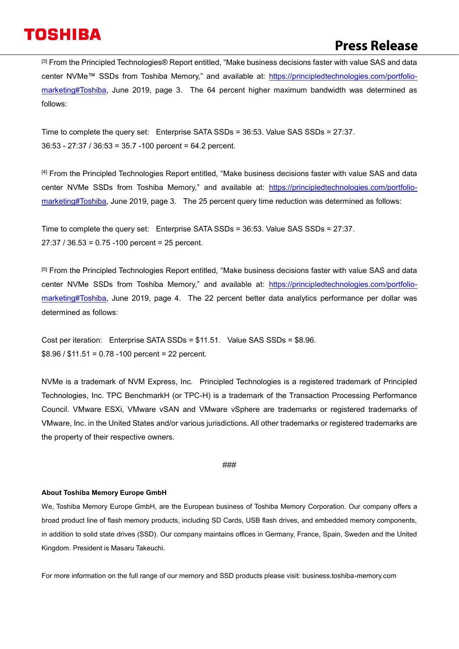# **TOSHIBA**

## **Press Release**

[3] From the Principled Technologies® Report entitled, "Make business decisions faster with value SAS and data center NVMe™ SSDs from Toshiba Memory," and available at: [https://principledtechnologies.com/portfolio](https://principledtechnologies.com/portfolio-marketing#Toshiba)[marketing#Toshiba,](https://principledtechnologies.com/portfolio-marketing#Toshiba) June 2019, page 3. The 64 percent higher maximum bandwidth was determined as follows:

Time to complete the query set: Enterprise SATA SSDs = 36:53. Value SAS SSDs = 27:37. 36:53 - 27:37 / 36:53 = 35.7 -100 percent = 64.2 percent.

[4] From the Principled Technologies Report entitled, "Make business decisions faster with value SAS and data center NVMe SSDs from Toshiba Memory," and available at: [https://principledtechnologies.com/portfolio](https://principledtechnologies.com/portfolio-marketing#Toshiba)[marketing#Toshiba,](https://principledtechnologies.com/portfolio-marketing#Toshiba) June 2019, page 3. The 25 percent query time reduction was determined as follows:

Time to complete the query set: Enterprise SATA SSDs = 36:53. Value SAS SSDs = 27:37. 27:37 / 36.53 = 0.75 -100 percent = 25 percent.

[5] From the Principled Technologies Report entitled, "Make business decisions faster with value SAS and data center NVMe SSDs from Toshiba Memory," and available at: [https://principledtechnologies.com/portfolio](https://principledtechnologies.com/portfolio-marketing#Toshiba)[marketing#Toshiba,](https://principledtechnologies.com/portfolio-marketing#Toshiba) June 2019, page 4. The 22 percent better data analytics performance per dollar was determined as follows:

Cost per iteration: Enterprise SATA SSDs = \$11.51. Value SAS SSDs = \$8.96.  $$8.96 / $11.51 = 0.78 - 100$  percent = 22 percent.

NVMe is a trademark of NVM Express, Inc. Principled Technologies is a registered trademark of Principled Technologies, Inc. TPC BenchmarkH (or TPC-H) is a trademark of the Transaction Processing Performance Council. VMware ESXi, VMware vSAN and VMware vSphere are trademarks or registered trademarks of VMware, Inc. in the United States and/or various jurisdictions. All other trademarks or registered trademarks are the property of their respective owners.

#### ###

#### **About Toshiba Memory Europe GmbH**

We, Toshiba Memory Europe GmbH, are the European business of Toshiba Memory Corporation. Our company offers a broad product line of flash memory products, including SD Cards, USB flash drives, and embedded memory components, in addition to solid state drives (SSD). Our company maintains offices in Germany, France, Spain, Sweden and the United Kingdom. President is Masaru Takeuchi.

For more information on the full range of our memory and SSD products please visit: business.toshiba-memory.com